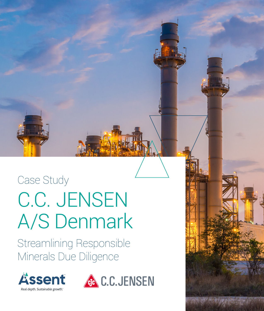## Case Study C.C. JENSEN A/S Denmark

Streamlining Responsible Minerals Due Diligence





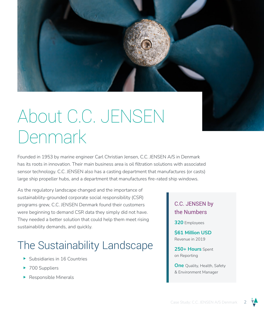

## About C.C. JENSEN Denmark

Founded in 1953 by marine engineer Carl Christian Jensen, C.C. JENSEN A/S in Denmark has its roots in innovation. Their main business area is oil filtration solutions with associated sensor technology. C.C. JENSEN also has a casting department that manufactures (or casts) large ship propeller hubs, and a department that manufactures fire-rated ship windows.

As the regulatory landscape changed and the importance of sustainability-grounded corporate social responsibility (CSR) programs grew, C.C. JENSEN Denmark found their customers were beginning to demand CSR data they simply did not have. They needed a better solution that could help them meet rising sustainability demands, and quickly.

#### The Sustainability Landscape

- $\blacktriangleright$  Subsidiaries in 16 Countries
- $\blacktriangleright$  700 Suppliers
- $\blacktriangleright$  Responsible Minerals

#### C.C. JENSEN by the Numbers

**320** Employees

**\$61 Million USD**  Revenue in 2019

**250+ Hours** Spent on Reporting

**One** Quality, Health, Safety & Environment Manager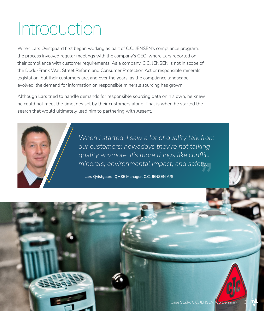# Introduction

When Lars Qvistgaard first began working as part of C.C. JENSEN's compliance program, the process involved regular meetings with the company's CEO, where Lars reported on their compliance with customer requirements. As a company, C.C. JENSEN is not in scope of the Dodd-Frank Wall Street Reform and Consumer Protection Act or responsible minerals legislation, but their customers are, and over the years, as the compliance landscape evolved, the demand for information on responsible minerals sourcing has grown.

Although Lars tried to handle demands for responsible sourcing data on his own, he knew he could not meet the timelines set by their customers alone. That is when he started the search that would ultimately lead him to partnering with Assent.



*When I started, I saw a lot of quality talk from our customers; nowadays they're not talking quality anymore. It's more things like conflict minerals, environmental impact, and safety.*

**— Lars Qvistgaard, QHSE Manager, C.C. JENSEN A/S**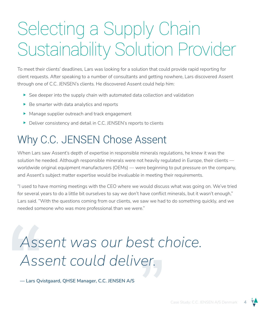# Selecting a Supply Chain Sustainability Solution Provider

To meet their clients' deadlines, Lars was looking for a solution that could provide rapid reporting for client requests. After speaking to a number of consultants and getting nowhere, Lars discovered Assent through one of C.C. JENSEN's clients. He discovered Assent could help him:

- $\triangleright$  See deeper into the supply chain with automated data collection and validation
- $\triangleright$  Be smarter with data analytics and reports
- $\blacktriangleright$  Manage supplier outreach and track engagement
- $\triangleright$  Deliver consistency and detail in C.C. JENSEN's reports to clients

#### Why C.C. JENSEN Chose Assent

When Lars saw Assent's depth of expertise in responsible minerals regulations, he knew it was the solution he needed. Although responsible minerals were not heavily regulated in Europe, their clients worldwide original equipment manufacturers (OEMs) — were beginning to put pressure on the company, and Assent's subject matter expertise would be invaluable in meeting their requirements.

"I used to have morning meetings with the CEO where we would discuss what was going on. We've tried for several years to do a little bit ourselves to say we don't have conflict minerals, but it wasn't enough," Lars said. "With the questions coming from our clients, we saw we had to do something quickly, and we needed someone who was more professional than we were."

#### *Assent was our best choice. Assent could deliver.*

**— Lars Qvistgaard, QHSE Manager, C.C. JENSEN A/S**